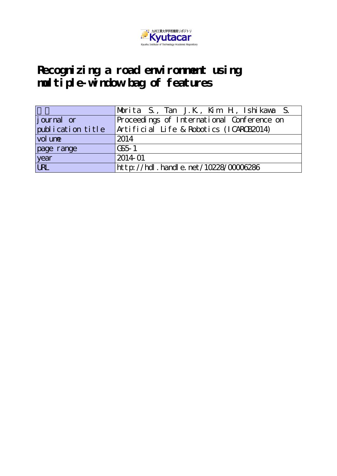

# **Recognizing a road environment using multiple-window bag of features**

|                   | Morita S., Tan J.K., Kim H., Ishikawa S.   |
|-------------------|--------------------------------------------|
| journal or        | Proceedings of International Conference on |
| publication title | Artificial Life & Robotics (ICARCB2014)    |
| vol une           | 2014                                       |
| page range        | CS <sub>5</sub> 1                          |
| year              | 2014-01                                    |
| URL               | http://hdl . handl e. net/10228/00006286   |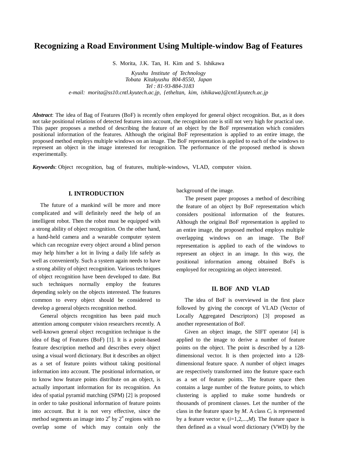# **Recognizing a Road Environment Using Multiple-window Bag of Features**

S. Morita, J.K. Tan, H. Kim and S. Ishikawa

*Kyushu Institute of Technology Tobata Kitakyushu 804-8550, Japan Tel : 81-93-884-3183 e-mail: morita@ss10.cntl.kyutech.ac.jp, {etheltan, kim, ishikawa}@cntl.kyutech.ac.jp*

*Abstract*: The idea of Bag of Features (BoF) is recently often employed for general object recognition. But, as it does not take positional relations of detected features into account, the recognition rate is still not very high for practical use. This paper proposes a method of describing the feature of an object by the BoF representation which considers positional information of the features. Although the original BoF representation is applied to an entire image, the proposed method employs multiple windows on an image. The BoF representation is applied to each of the windows to represent an object in the image interested for recognition. The performance of the proposed method is shown experimentally.

*Keywords*: Object recognition, bag of features, multiple-windows, VLAD, computer vision.

# **I. INTRODUCTION**

The future of a mankind will be more and more complicated and will definitely need the help of an intelligent robot. Then the robot must be equipped with a strong ability of object recognition. On the other hand, a hand-held camera and a wearable computer system which can recognize every object around a blind person may help him/her a lot in living a daily life safely as well as conveniently. Such a system again needs to have a strong ability of object recognition. Various techniques of object recognition have been developed to date. But such techniques normally employ the features depending solely on the objects interested. The features common to every object should be considered to develop a general objects recognition method.

General objects recognition has been paid much attention among computer vision researchers recently. A well-known general object recognition technique is the idea of Bag of Features (BoF) [1]. It is a point-based feature description method and describes every object using a visual word dictionary. But it describes an object as a set of feature points without taking positional information into account. The positional information, or to know how feature points distribute on an object, is actually important information for its recognition. An idea of spatial pyramid matching (SPM) [2] is proposed in order to take positional information of feature points into account. But it is not very effective, since the method segments an image into  $2^n$  by  $2^n$  regions with no overlap some of which may contain only the

background of the image.

 The present paper proposes a method of describing the feature of an object by BoF representation which considers positional information of the features. Although the original BoF representation is applied to an entire image, the proposed method employs multiple overlapping windows on an image. The BoF representation is applied to each of the windows to represent an object in an image. In this way, the positional information among obtained BoFs is employed for recognizing an object interested.

# **II. BOF AND VLAD**

The idea of BoF is overviewed in the first place followed by giving the concept of VLAD (Vector of Locally Aggregated Descriptors) [3] proposed as another representation of BoF.

Given an object image, the SIFT operator [4] is applied to the image to derive a number of feature points on the object. The point is described by a 128 dimensional vector. It is then projected into a 128 dimensional feature space. A number of object images are respectively transformed into the feature space each as a set of feature points. The feature space then contains a large number of the feature points, to which clustering is applied to make some hundreds or thousands of prominent classes. Let the number of the class in the feature space by  $M$ . A class  $C_i$  is represented by a feature vector  $v_i$  ( $i=1,2,...,M$ ). The feature space is then defined as a visual word dictionary (VWD) by the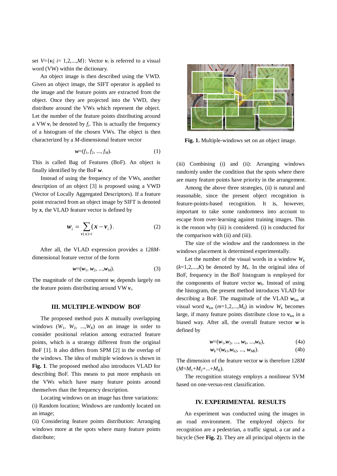set  $V = \{v_i | i = 1, 2, \ldots, M\}$ : Vector  $v_i$  is referred to a visual word (VW) within the dictionary.

An object image is then described using the VWD. Given an object image, the SIFT operator is applied to the image and the feature points are extracted from the object. Once they are projected into the VWD, they distribute around the VWs which represent the object. Let the number of the feature points distributing around a VW  $v_i$  be denoted by  $f_i$ . This is actually the frequency of a histogram of the chosen VWs. The object is then characterized by a *M*-dimensional feature vector

$$
w=(f_1, f_2, ..., f_M). \t\t(1)
$$

This is called Bag of Features (BoF). An object is finally identified by the BoF *w*.

 Instead of using the frequency of the VWs, another description of an object [3] is proposed using a VWD (Vector of Locally Aggregated Descriptors). If a feature point extracted from an object image by SIFT is denoted by  $x$ , the VLAD feature vector is defined by

$$
W_i = \sum_{\mathbf{v}(\mathbf{x})=i} (\mathbf{x} - \mathbf{v}_i).
$$
 (2)

After all, the VLAD expression provides a 128*M*dimensional feature vector of the form

$$
w=(w_1, w_2, ..., w_M). \t\t(3)
$$

The magnitude of the component  $w_i$  depends largely on the feature points distributing around  $VW$   $v_i$ .

# **III. MULTIPLE-WINDOW BOF**

The proposed method puts *K* mutually overlapping windows  $(W_1, W_2, ..., W_k)$  on an image in order to consider positional relation among extracted feature points, which is a strategy different from the original BoF [1]. It also differs from SPM [2] in the overlap of the windows. The idea of multiple windows is shown in **Fig. 1**. The proposed method also introduces VLAD for describing BoF. This means to put more emphasis on the VWs which have many feature points around themselves than the frequency description.

Locating windows on an image has three variations: (i) Random location; Windows are randomly located on an image;

(ii) Considering feature points distribution: Arranging windows more at the spots where many feature points distribute;



**Fig. 1.** Multiple-windows set on an object image.

(iii) Combining (i) and (ii): Arranging windows randomly under the condition that the spots where there are many feature points have priority in the arrangement.

 Among the above three strategies, (ii) is natural and reasonable, since the present object recognition is feature-points-based recognition. It is, however, important to take some randomness into account to escape from over-learning against training images. This is the reason why (iii) is considered. (i) is conducted for the comparison with (ii) and (iii).

 The size of the window and the randomness in the windows placement is determined experimentally.

Let the number of the visual words in a window  $W_k$  $(k=1,2,...,K)$  be denoted by  $M_k$ . In the original idea of BoF, frequency in the BoF histogram is employed for the components of feature vector  $w_k$ . Instead of using the histogram, the present method introduces VLAD for describing a BoF. The magnitude of the VLAD *wkm* at visual word  $v_{km}$  ( $m=1,2,...,M_k$ ) in window  $W_k$  becomes large, if many feature points distribute close to  $v_{km}$  in a biased way. After all, the overall feature vector *w* is defined by

$$
w=(w_1, w_2, ..., w_k, ..., w_K), \t(4a)
$$

$$
w_k = (w_{k1}, w_{k2}, ..., w_{Mk}).
$$
\n(4b)

The dimension of the feature vector *w* is therefore 128*M*  $(M=M_1+M_2+...+M_K)$ .

The recognition strategy employs a nonlinear SVM based on one-versus-rest classification.

#### **IV. EXPERIMENTAL RESULTS**

An experiment was conducted using the images in an road environment. The employed objects for recognition are a pedestrian, a traffic signal, a car and a bicycle (See **Fig. 2**). They are all principal objects in the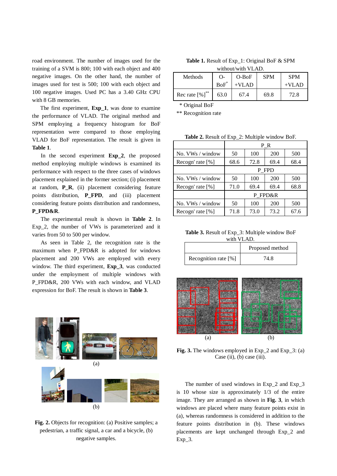road environment. The number of images used for the training of a SVM is 800; 100 with each object and 400 negative images. On the other hand, the number of images used for test is 500; 100 with each object and 100 negative images. Used PC has a 3.40 GHz CPU with 8 GB memories.

The first experiment, **Exp\_1**, was done to examine the performance of VLAD. The original method and SPM employing a frequency histogram for BoF representation were compared to those employing VLAD for BoF representation. The result is given in **Table 1**.

 In the second experiment **Exp\_2**, the proposed method employing multiple windows is examined its performance with respect to the three cases of windows placement explained in the former section; (i) placement at random, **P\_R**, (ii) placement considering feature points distribution, **P\_FPD**, and (iii) placement considering feature points distribution and randomness, **P\_FPD&R**.

 The experimental result is shown in **Table 2**. In Exp\_2, the number of VWs is parameterized and it varies from 50 to 500 per window.

 As seen in Table 2, the recognition rate is the maximum when P\_FPD&R is adopted for windows placement and 200 VWs are employed with every window. The third experiment, **Exp\_3**, was conducted under the employment of multiple windows with P\_FPD&R, 200 VWs with each window, and VLAD expression for BoF. The result is shown in **Table 3**.



**Fig. 2.** Objects for recognition: (a) Positive samples; a pedestrian, a traffic signal, a car and a bicycle, (b) negative samples.

| <b>Table 1.</b> Result of Exp_1: Original BoF & SPM |  |
|-----------------------------------------------------|--|
| without/with VLAD.                                  |  |

| Methods                      | $\Omega$ | $O-BoF$ | <b>SPM</b> | <b>SPM</b> |
|------------------------------|----------|---------|------------|------------|
|                              | $BoF^*$  | $+VLAD$ |            | $+VI$ AD   |
| Rec rate $[%]$ <sup>**</sup> | 63.0     | 67.4    | 69.8       | 72.8       |

\* Original BoF

\*\* Recognition rate

**Table 2.** Result of Exp\_2: Multiple window BoF.

|                     | ΡR      |      |      |      |
|---------------------|---------|------|------|------|
| No. VWs / window    | 50      | 100  | 200  | 500  |
| Recogn' rate $[\%]$ | 68.6    | 72.8 | 69.4 | 68.4 |
|                     | P FPD   |      |      |      |
| No. $VWs / window$  | 50      | 100  | 200  | 500  |
| Recogn' rate $[\%]$ | 71.0    | 69.4 | 69.4 | 68.8 |
|                     | P FPD&R |      |      |      |
| No. $VWs / window$  | 50      | 100  | 200  | 500  |
| Recogn' rate $[\%]$ | 71.8    | 73.0 | 73.2 | 67.6 |

**Table 3.** Result of Exp\_3: Multiple window BoF with VLAD.

|                        | Proposed method |
|------------------------|-----------------|
| Recognition rate $[%]$ | 74 8.           |



**Fig. 3.** The windows employed in Exp 2 and Exp 3: (a) Case (ii), (b) case (iii).

 The number of used windows in Exp\_2 and Exp\_3 is 10 whose size is approximately 1/3 of the entire image. They are arranged as shown in **Fig. 3**, in which windows are placed where many feature points exist in (a), whereas randomness is considered in addition to the feature points distribution in (b). These windows placements are kept unchanged through Exp\_2 and  $Exp_3$ .